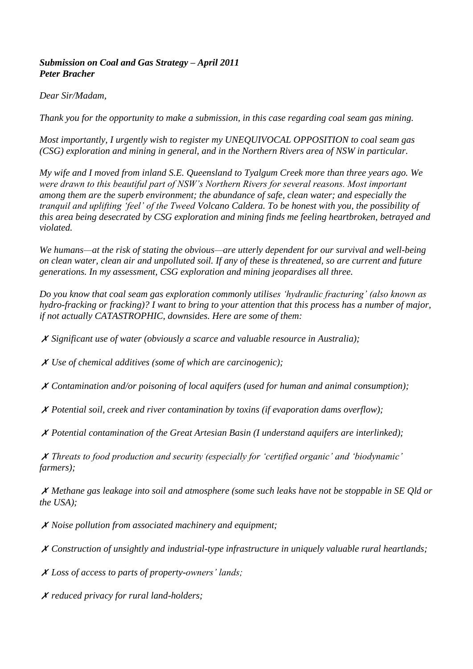## *Submission on Coal and Gas Strategy – April 2011 Peter Bracher*

## *Dear Sir/Madam,*

*Thank you for the opportunity to make a submission, in this case regarding coal seam gas mining.*

*Most importantly, I urgently wish to register my UNEQUIVOCAL OPPOSITION to coal seam gas (CSG) exploration and mining in general, and in the Northern Rivers area of NSW in particular.*

*My wife and I moved from inland S.E. Queensland to Tyalgum Creek more than three years ago. We were drawn to this beautiful part of NSW's Northern Rivers for several reasons. Most important among them are the superb environment; the abundance of safe, clean water; and especially the tranquil and uplifting 'feel' of the Tweed Volcano Caldera. To be honest with you, the possibility of this area being desecrated by CSG exploration and mining finds me feeling heartbroken, betrayed and violated.*

*We humans—at the risk of stating the obvious—are utterly dependent for our survival and well-being on clean water, clean air and unpolluted soil. If any of these is threatened, so are current and future generations. In my assessment, CSG exploration and mining jeopardises all three.*

*Do you know that coal seam gas exploration commonly utilises 'hydraulic fracturing' (also known as hydro-fracking or fracking)? I want to bring to your attention that this process has a number of major, if not actually CATASTROPHIC, downsides. Here are some of them:*

✗ *Significant use of water (obviously a scarce and valuable resource in Australia);*

✗ *Use of chemical additives (some of which are carcinogenic);*

✗ *Contamination and/or poisoning of local aquifers (used for human and animal consumption);*

✗ *Potential soil, creek and river contamination by toxins (if evaporation dams overflow);*

✗ *Potential contamination of the Great Artesian Basin (I understand aquifers are interlinked);*

✗ *Threats to food production and security (especially for 'certified organic' and 'biodynamic' farmers);*

✗ *Methane gas leakage into soil and atmosphere (some such leaks have not be stoppable in SE Qld or the USA);*

✗ *Noise pollution from associated machinery and equipment;*

✗ *Construction of unsightly and industrial-type infrastructure in uniquely valuable rural heartlands;*

✗ *Loss of access to parts of property-owners' lands;*

✗ *reduced privacy for rural land-holders;*